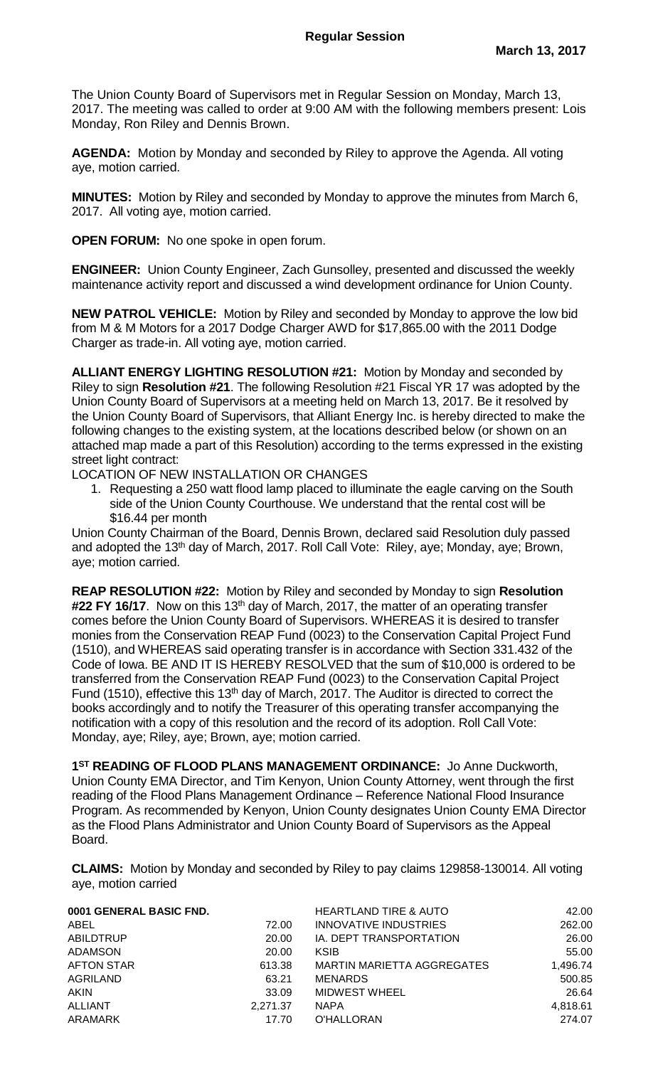The Union County Board of Supervisors met in Regular Session on Monday, March 13, 2017. The meeting was called to order at 9:00 AM with the following members present: Lois Monday, Ron Riley and Dennis Brown.

**AGENDA:** Motion by Monday and seconded by Riley to approve the Agenda. All voting aye, motion carried.

**MINUTES:** Motion by Riley and seconded by Monday to approve the minutes from March 6, 2017. All voting aye, motion carried.

**OPEN FORUM:** No one spoke in open forum.

**ENGINEER:** Union County Engineer, Zach Gunsolley, presented and discussed the weekly maintenance activity report and discussed a wind development ordinance for Union County.

**NEW PATROL VEHICLE:** Motion by Riley and seconded by Monday to approve the low bid from M & M Motors for a 2017 Dodge Charger AWD for \$17,865.00 with the 2011 Dodge Charger as trade-in. All voting aye, motion carried.

**ALLIANT ENERGY LIGHTING RESOLUTION #21:** Motion by Monday and seconded by Riley to sign **Resolution #21**. The following Resolution #21 Fiscal YR 17 was adopted by the Union County Board of Supervisors at a meeting held on March 13, 2017. Be it resolved by the Union County Board of Supervisors, that Alliant Energy Inc. is hereby directed to make the following changes to the existing system, at the locations described below (or shown on an attached map made a part of this Resolution) according to the terms expressed in the existing street light contract:

LOCATION OF NEW INSTALLATION OR CHANGES

1. Requesting a 250 watt flood lamp placed to illuminate the eagle carving on the South side of the Union County Courthouse. We understand that the rental cost will be \$16.44 per month

Union County Chairman of the Board, Dennis Brown, declared said Resolution duly passed and adopted the 13<sup>th</sup> day of March, 2017. Roll Call Vote: Riley, aye; Monday, aye; Brown, aye; motion carried.

**REAP RESOLUTION #22:** Motion by Riley and seconded by Monday to sign **Resolution**  #22 FY 16/17. Now on this 13<sup>th</sup> day of March, 2017, the matter of an operating transfer comes before the Union County Board of Supervisors. WHEREAS it is desired to transfer monies from the Conservation REAP Fund (0023) to the Conservation Capital Project Fund (1510), and WHEREAS said operating transfer is in accordance with Section 331.432 of the Code of Iowa. BE AND IT IS HEREBY RESOLVED that the sum of \$10,000 is ordered to be transferred from the Conservation REAP Fund (0023) to the Conservation Capital Project Fund (1510), effective this 13<sup>th</sup> day of March, 2017. The Auditor is directed to correct the books accordingly and to notify the Treasurer of this operating transfer accompanying the notification with a copy of this resolution and the record of its adoption. Roll Call Vote: Monday, aye; Riley, aye; Brown, aye; motion carried.

**1 ST READING OF FLOOD PLANS MANAGEMENT ORDINANCE:** Jo Anne Duckworth, Union County EMA Director, and Tim Kenyon, Union County Attorney, went through the first reading of the Flood Plans Management Ordinance – Reference National Flood Insurance Program. As recommended by Kenyon, Union County designates Union County EMA Director as the Flood Plans Administrator and Union County Board of Supervisors as the Appeal Board.

**CLAIMS:** Motion by Monday and seconded by Riley to pay claims 129858-130014. All voting aye, motion carried

| 0001 GENERAL BASIC FND. |          | <b>HEARTLAND TIRE &amp; AUTO</b> | 42.00    |
|-------------------------|----------|----------------------------------|----------|
| ABEL                    | 72.00    | INNOVATIVE INDUSTRIES            | 262.00   |
| <b>ABILDTRUP</b>        | 20.00    | IA. DEPT TRANSPORTATION          | 26.00    |
| <b>ADAMSON</b>          | 20.00    | <b>KSIB</b>                      | 55.00    |
| <b>AFTON STAR</b>       | 613.38   | MARTIN MARIETTA AGGREGATES       | 1,496.74 |
| <b>AGRILAND</b>         | 63.21    | <b>MENARDS</b>                   | 500.85   |
| <b>AKIN</b>             | 33.09    | <b>MIDWEST WHEEL</b>             | 26.64    |
| <b>ALLIANT</b>          | 2,271.37 | <b>NAPA</b>                      | 4,818.61 |
| ARAMARK                 | 17.70    | O'HALLORAN                       | 274.07   |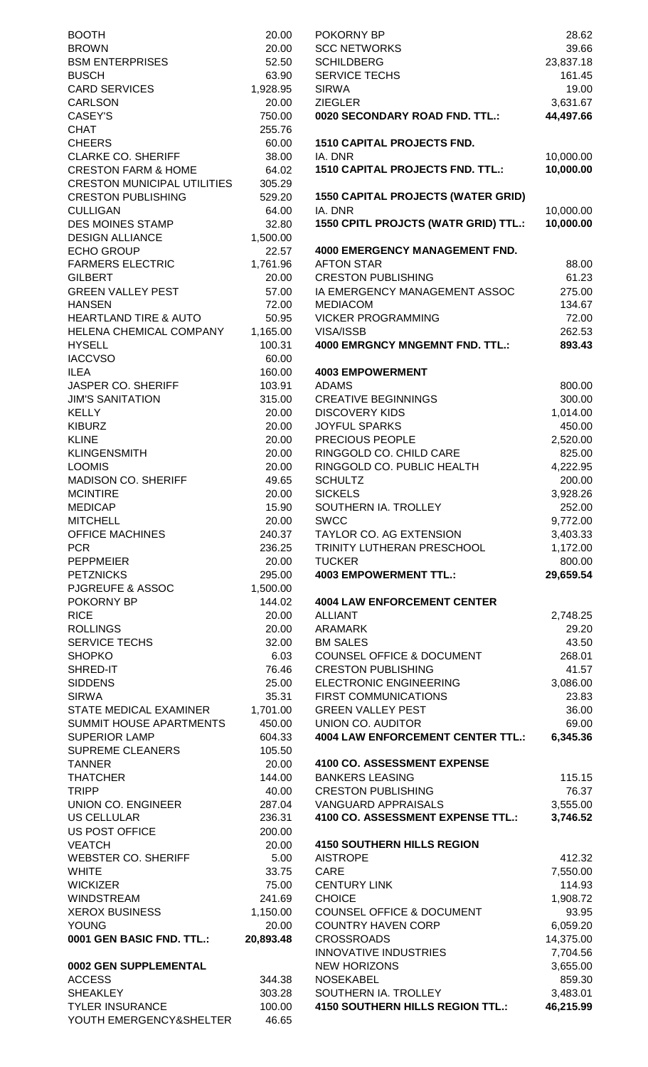| <b>BOOTH</b>                       | 20.00     | POKORNY BP                                | 28.62     |
|------------------------------------|-----------|-------------------------------------------|-----------|
| <b>BROWN</b>                       | 20.00     | <b>SCC NETWORKS</b>                       | 39.66     |
| <b>BSM ENTERPRISES</b>             | 52.50     | <b>SCHILDBERG</b>                         | 23,837.18 |
| <b>BUSCH</b>                       | 63.90     | SERVICE TECHS                             | 161.45    |
| <b>CARD SERVICES</b>               | 1,928.95  | <b>SIRWA</b>                              | 19.00     |
| <b>CARLSON</b>                     | 20.00     | <b>ZIEGLER</b>                            | 3,631.67  |
| CASEY'S                            | 750.00    | 0020 SECONDARY ROAD FND. TTL.:            | 44,497.66 |
| <b>CHAT</b>                        | 255.76    |                                           |           |
| <b>CHEERS</b>                      | 60.00     | <b>1510 CAPITAL PROJECTS FND.</b>         |           |
| <b>CLARKE CO. SHERIFF</b>          | 38.00     | IA. DNR                                   | 10,000.00 |
| <b>CRESTON FARM &amp; HOME</b>     | 64.02     | <b>1510 CAPITAL PROJECTS FND. TTL.:</b>   | 10,000.00 |
| <b>CRESTON MUNICIPAL UTILITIES</b> | 305.29    |                                           |           |
| <b>CRESTON PUBLISHING</b>          | 529.20    | <b>1550 CAPITAL PROJECTS (WATER GRID)</b> |           |
| <b>CULLIGAN</b>                    | 64.00     | IA. DNR                                   | 10,000.00 |
| <b>DES MOINES STAMP</b>            | 32.80     | 1550 CPITL PROJCTS (WATR GRID) TTL.:      | 10,000.00 |
| <b>DESIGN ALLIANCE</b>             | 1,500.00  |                                           |           |
| <b>ECHO GROUP</b>                  | 22.57     | <b>4000 EMERGENCY MANAGEMENT FND.</b>     |           |
| <b>FARMERS ELECTRIC</b>            | 1,761.96  | <b>AFTON STAR</b>                         | 88.00     |
| <b>GILBERT</b>                     | 20.00     | <b>CRESTON PUBLISHING</b>                 | 61.23     |
| <b>GREEN VALLEY PEST</b>           | 57.00     | IA EMERGENCY MANAGEMENT ASSOC             | 275.00    |
| <b>HANSEN</b>                      | 72.00     | <b>MEDIACOM</b>                           | 134.67    |
| <b>HEARTLAND TIRE &amp; AUTO</b>   | 50.95     | <b>VICKER PROGRAMMING</b>                 | 72.00     |
| HELENA CHEMICAL COMPANY            | 1,165.00  | VISA/ISSB                                 | 262.53    |
| <b>HYSELL</b>                      | 100.31    | <b>4000 EMRGNCY MNGEMNT FND. TTL.:</b>    | 893.43    |
| <b>IACCVSO</b>                     | 60.00     |                                           |           |
| <b>ILEA</b>                        | 160.00    | <b>4003 EMPOWERMENT</b>                   |           |
| <b>JASPER CO. SHERIFF</b>          | 103.91    | <b>ADAMS</b>                              | 800.00    |
| <b>JIM'S SANITATION</b>            | 315.00    | <b>CREATIVE BEGINNINGS</b>                | 300.00    |
| <b>KELLY</b>                       | 20.00     | <b>DISCOVERY KIDS</b>                     | 1,014.00  |
| <b>KIBURZ</b>                      | 20.00     | <b>JOYFUL SPARKS</b>                      | 450.00    |
| <b>KLINE</b>                       | 20.00     | PRECIOUS PEOPLE                           | 2,520.00  |
| <b>KLINGENSMITH</b>                | 20.00     | RINGGOLD CO. CHILD CARE                   | 825.00    |
| <b>LOOMIS</b>                      | 20.00     | RINGGOLD CO. PUBLIC HEALTH                | 4,222.95  |
| <b>MADISON CO. SHERIFF</b>         | 49.65     | <b>SCHULTZ</b>                            | 200.00    |
| <b>MCINTIRE</b>                    | 20.00     | <b>SICKELS</b>                            | 3,928.26  |
| <b>MEDICAP</b>                     | 15.90     | SOUTHERN IA. TROLLEY                      | 252.00    |
| <b>MITCHELL</b>                    | 20.00     | <b>SWCC</b>                               | 9,772.00  |
|                                    |           |                                           |           |
| <b>OFFICE MACHINES</b>             | 240.37    | TAYLOR CO. AG EXTENSION                   | 3,403.33  |
| <b>PCR</b>                         | 236.25    | TRINITY LUTHERAN PRESCHOOL                | 1,172.00  |
| <b>PEPPMEIER</b>                   | 20.00     | <b>TUCKER</b>                             | 800.00    |
| <b>PETZNICKS</b>                   | 295.00    | <b>4003 EMPOWERMENT TTL.:</b>             | 29,659.54 |
| <b>PJGREUFE &amp; ASSOC</b>        | 1,500.00  |                                           |           |
| POKORNY BP                         | 144.02    | <b>4004 LAW ENFORCEMENT CENTER</b>        |           |
| <b>RICE</b>                        | 20.00     | <b>ALLIANT</b>                            | 2,748.25  |
| <b>ROLLINGS</b>                    | 20.00     | <b>ARAMARK</b>                            | 29.20     |
| SERVICE TECHS                      | 32.00     | <b>BM SALES</b>                           | 43.50     |
| <b>SHOPKO</b>                      | 6.03      | COUNSEL OFFICE & DOCUMENT                 | 268.01    |
| SHRED-IT                           | 76.46     | <b>CRESTON PUBLISHING</b>                 | 41.57     |
| <b>SIDDENS</b>                     | 25.00     | ELECTRONIC ENGINEERING                    | 3,086.00  |
| <b>SIRWA</b>                       | 35.31     | <b>FIRST COMMUNICATIONS</b>               | 23.83     |
| STATE MEDICAL EXAMINER             | 1,701.00  | <b>GREEN VALLEY PEST</b>                  | 36.00     |
| SUMMIT HOUSE APARTMENTS            | 450.00    | UNION CO. AUDITOR                         | 69.00     |
| <b>SUPERIOR LAMP</b>               | 604.33    | <b>4004 LAW ENFORCEMENT CENTER TTL.:</b>  | 6,345.36  |
| <b>SUPREME CLEANERS</b>            | 105.50    |                                           |           |
| <b>TANNER</b>                      | 20.00     | 4100 CO. ASSESSMENT EXPENSE               |           |
| <b>THATCHER</b>                    | 144.00    | <b>BANKERS LEASING</b>                    | 115.15    |
| <b>TRIPP</b>                       | 40.00     | <b>CRESTON PUBLISHING</b>                 | 76.37     |
| <b>UNION CO. ENGINEER</b>          | 287.04    | <b>VANGUARD APPRAISALS</b>                | 3,555.00  |
| <b>US CELLULAR</b>                 | 236.31    | 4100 CO. ASSESSMENT EXPENSE TTL.:         | 3,746.52  |
| <b>US POST OFFICE</b>              | 200.00    |                                           |           |
| <b>VEATCH</b>                      | 20.00     | <b>4150 SOUTHERN HILLS REGION</b>         |           |
| <b>WEBSTER CO. SHERIFF</b>         | 5.00      | <b>AISTROPE</b>                           | 412.32    |
| <b>WHITE</b>                       | 33.75     | CARE                                      | 7,550.00  |
| <b>WICKIZER</b>                    | 75.00     | <b>CENTURY LINK</b>                       | 114.93    |
| <b>WINDSTREAM</b>                  | 241.69    | <b>CHOICE</b>                             | 1,908.72  |
| <b>XEROX BUSINESS</b>              | 1,150.00  | <b>COUNSEL OFFICE &amp; DOCUMENT</b>      | 93.95     |
| <b>YOUNG</b>                       | 20.00     | <b>COUNTRY HAVEN CORP</b>                 | 6,059.20  |
| 0001 GEN BASIC FND. TTL.:          | 20,893.48 | <b>CROSSROADS</b>                         | 14,375.00 |
|                                    |           | <b>INNOVATIVE INDUSTRIES</b>              | 7,704.56  |
| 0002 GEN SUPPLEMENTAL              |           | <b>NEW HORIZONS</b>                       | 3,655.00  |
| <b>ACCESS</b>                      | 344.38    | <b>NOSEKABEL</b>                          | 859.30    |
| <b>SHEAKLEY</b>                    | 303.28    | SOUTHERN IA. TROLLEY                      | 3,483.01  |
| <b>TYLER INSURANCE</b>             | 100.00    | 4150 SOUTHERN HILLS REGION TTL.:          | 46,215.99 |